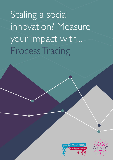Scaling a social innovation? Measure your impact with... Process Tracing



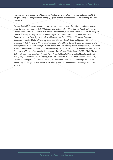*This document is an extract from "Learning As You Scale: A practical guide for using data and insights to navigate scaling and complex system change", a guide that was commissioned and supported by the Genio Trust in 2021.*

*The practical guide has been produced in consultation with actors within the social innovation arena from across Europe. These actors included Madeleine Clarke (Genio), John Healy (Genio), Niamh Lally (Genio), Grainne Smith (Genio), Dana Verbal (Directorate-General Employment, Social Affairs and Inclusion, European Commission), Risto Raivio (Directorate-General Employment, Social Affairs and Inclusion, European Commission), Henk Visser (Directorate-General Employment, Social Affairs and Inclusion, European Commission), Monika Chaba (Directorate-General Employment, Social Affairs and Inclusion, European Commission), Ruth Armstrong (National Social Inclusion Office, Health Service Executive, Ireland), Marieke Altena (National Social Inclusion Office, Health Service Executive, Ireland), David Stead (Maanch), Clémentine Blazy (European Centre for Social Finance & member of the ESCF Advisory Board), Bairbre Nic Aongusa (Irish Department of Rural and Community Development), Gary Johnston (Social Finance UK/NL), Maša Malovrh (Beletrina), Michael Fembek (Zero Project), Assiri Valdes (UpSocial), Ona Argemí (UpSocial), Anja Koenig (EVPA), Stephanie Haefele (Bosch-Stiftung), Luca Pilosu (Compagnia di San Paolo), Hannah Cooper (IDC), Carolina Gottardo (IDC) and Vivienne Chew (IDC). The authors would like to acknowledge their sincere appreciation of the input of time and expertise that these people contributed to the development of this resource.*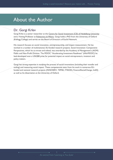# About the Author

## Dr. Gorgi Krlev

Gorgi Krlev is a senior researcher at the [Centre for Social Investment \(CSI\) of Heidelberg University](https://www.soz.uni-heidelberg.de/centre-for-social-investment/) and a Visiting Professor at [Politecnico di Milano.](https://www.polimi.it/en/) Gorgi holds a PhD from the University of Oxford (Kellogg College) and serves on the Board of Directors of Euclid Network.

His research focuses on social innovation, entrepreneurship, and impact measurement. He has worked in a number of multinational, EU-funded research projects. Social Innovation: Comparative Perspectives, which he co-wrote and edited, was awarded by the Academy of Management's (AOM) Public and Non-Profit Division. The MOOC "Accelerating Investment Readiness" (#AirMOOC) he lead-developed won a USASBE prize for potential impact on social entrepreneurs, investors and policy makers.

Gorgi has strong expertise in studying the process of social innovations (including their transfer and scaling) and measuring social impact. These competencies stem from his work in numerous EUfunded and national research projects (INNOSERV, TEPSIE, ITSSOIN, Finance4SocialChange, IndiSI) as well as his dissertation at the University of Oxford.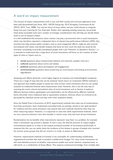## A word on impact measurement

The amount of impact measurement tools is vast, and their variety and concrete application have been well documented (see Avise, 2021; GECES Sub-group, 2014; European Commission & the OECD, 2015; Tuan, 2008). You may be aware of many others and you could choose to integrate those into your Learning As You Scale plan. Rather than repeating existing resources, we provide these three accessible tools and a number of strategic considerations that will help you decide which tools to use to measure impact.

It is well established that economic value creation may play a pronounced role in social innovations, which may therefore represent a substantial share of relevant key performance indicators (KPIs). Any activities that help prevent public transfers, such as work integration efforts, might be well covered and analysed with classic cost-benefit analyses that focus on how much the state has saved by the innovator succeeding to provide unemployed people with a job. However, as detailed in Section 1, it is essential to understand that a large share of social innovations will focus on the creation of other types of value or impact such as:

- **social** (questions about interpersonal relations and networks, people's lives etc.)
- **cultural** (questions about norms and values)
- **political** (questions about participation and engagement)
- **environmental** (questions about preserving our environment and limiting environmental degradation)

Assessing such effects demands a much higher degree of creativity and methodological complexity. There are a range of ways that this can be achieved. Social return on investment (SROI) methods is one approach that enables people to assess the value of their social innovations that are not usually assessed via traditional financial value measurement tools. However, this is not the only way of assessing the social, cultural and political value of social innovations and, as Section 4 explores, different decision-makers, gatekeepers and stakeholders can be influenced by different methods. Some will prefer more traditional data or quantitative evidence, whereas others are inclined to be persuaded by individual stories and data with richer qualitative details.

Since the Nobel Prize in Economics of 2019, experimental methods that make use of randomisation have been prominent. Such randomized controlled trials are perhaps viewed as the 'gold standard' for evidence and thus social innovators may assume that such methods should be what they use when measuring impact. However, it is important to note that while experimental methods, which are very resource-intensive, have their benefits in certain areas, they also have serious limitations.

Randomisation has its benefits when interventions represent 'easy fixes' to a problem, for example when a vaccination may prevent a disease. In such a case, the desired outcome or impact (higher immunization) equals or is close to the outputs produced (number of vaccinations performed). In instances like this, you can easily check the incidence of the disease in groups of people who received the vaccine versus groups that did not receive it in order to assess its effectiveness.

However, experimental methods are limited, if not unsuitable, for understanding multifaceted, organizational activities that seek to produce multifactorial changes. For many social innovations we will need detailed accounts of whether interventions enable new social relations, empowerment, or self-worth, or a combination of those effects. This requires contextual knowledge, from multiple data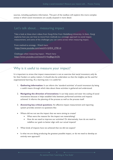sources, including qualitative information. This part of the toolbox will explore this more complex arenas in which social innovations are usually situated in more detail.

## Let's talk about… measuring impact

Take a look at these short videos from Gorgi Krlev from Heidelberg University. In them, Gorgi explores how you can how to move from methods to a strategic approach to social impact measurement, and some of the challenges you can come across when measuring impact.

From method to strategy - Watch here: [https://www.youtube.com/watch?v=jHD4\\_Z781r0](https://www.youtube.com/watch?v=jHD4_Z781r0%20) 

Challenges when measuring impact - Watch here: <https://www.youtube.com/watch?v=boJ8zgn3nOk>

## Why is it useful to measure your impact?

It is important to stress that impact measurement is not an exercise that social innovators only do for their funders or policy makers. It should also be undertaken so that the insights can be used for organisational learning. As a learning tool, it is useful for:

- 1. **Gathering information:** It can inform the 'standard activities' of social innovators by being a useful means through which data about these activities is gathered and understood.
- 2. **Navigating the direction of innovations:** It can help assess and steer the scaling of social innovations because it helps establish links between performed activities and impacts achieved. It informs the planning of the process as well as the process itself.
- 3. **Answering key critical questions:** An effective impact measurement and reporting system provides answers to questions like:
- Where did we not see the impact that we were aiming to create?
	- What were the reasons for the impact not materializing?
	- How do we need to improve our activities? Or alternatively, how do we need to redefine our goals to better align with our actual impacts?
- What kinds of impacts have we achieved that we did not expect?
- Is what we are doing producing the greatest possible impact, or do we need to develop an entirely new approach?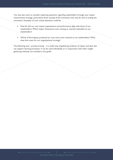You may also want to consider exploring questions regarding stakeholders through your impact measurement strategy, particularly those outside of the innovation who may be vital to scaling the innovation. Examples of such critical questions could be:

- How far did our own impact expectations and performance align with those of our stakeholders? Which impact dimensions were missing or seemed redundant to our stakeholders?
- Which of the impacts produced (or not) were most material to our stakeholders? What does that mean for our organizational strategy?

The following tool - process-tracing – is a useful way of gathering evidence of impact and data that can support learning processes. It can be used individually or in conjunction with other insight gathering methods not included in this guide.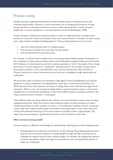## Process tracing

Socially innovative organisational practices are often looked at with an exclusive focus on the outcomes they produce. However, as social innovations aim to change social practices of target groups and their surrounding environment, and are usually enhanced when a variety of actors collaborate, a process perspective is warranted (Anheier, Krlev & Mildenberger, 2018).

Process tracing is a method from political science. In order to understand how a transformative process has occurred, it looks at the events, actors and context factors in retrospect. Process tracing uses a rigid analytical strategy of probing questions. These probing questions aim to uncover:

- what the critical junctions were in a change process,
- who the actors involved were and what role they played
- what contextual factors ensured success.

For example, it could be used to explain how a new law got passed despite political contestation, or the completion of major political projects such as that of European integration (Bennett and Checkel, 2017). Because it looks backwards and tries to answer questions to "solve" the puzzle of how change came about, it can be compared to "whodunnit?" detective stories. This complex and plot-driven literary genre centres on who committed the crime, and how and why the culprit has done it. Process tracing uses a similar detective process to look back, investigate through questioning, and understand.

We know that social innovations are marked by a high degree of local embeddedness and typically depend on a unique combination of enabling factors rather than a universal formula (Krlev et al., 2019). Because of this, the processes and results of scaling almost never look like the original social innovation. What is more, the concept of scaling itself, in a social innovation context, is much more complex than its commercial counterparts. It may involve different types of scaling as outlined in the Ways to scale summary in Section 1 of this guide.

These different types of scaling underline that scaling in the social innovation context does not equal organizational growth. Quite the contrary, many scaling processes of social innovation are about transferring practices to other contexts or sectors, or of mobilizing a coalition of actors to promote a joint cause. Such collective action types of innovation and scaling require a clear initial idea of the process and continuous learning as the process evolves to be able to steer it appropriately. This means that process tracing is a good learning tool for social innovations as they scale.

#### **Why is process tracing useful?**

Process tracing is an effective methodology for implementing a learning as you scale strategy because:

1. Probing questions provide focus and allow for critical thinking: The probing questions ensure that you have all essential elements of scaling thought through and help to prompt you to challenge the original version of your scaling strategy. For example, the probing may help you to detect new players, might encourage you to go back to your conceptualization phase, or adapt your scaling plan.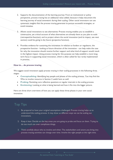- 2. Supports the documentation of the learning journey: From an institutional or policy perspective, process tracing has an additional value added, because it helps document the learning journey of social innovators during their scaling. Other social innovators can use systematic insights that the process tracing generates to pursue successful strategies, or avoid mistakes.
- 3. Allows social innovations to see alternatives: Process tracing enables you to establish a constructive, yet critical account of what alternatives are already there as you plan to scale (retrospective function); and to project where the social innovation (and its impact, see next section) could be going in the future (projective function).
- 4. Provides evidence for sustaining the innovation: In relation to funders or regulators, the prospective function - looking at future direction of the innovation - can help make the case for why the innovation should receive further support and what kind of support would result in the highest impact. Using process tracing for this purpose can help establish a more longterm focus in supporting social innovation, which is often called for but rarely implemented in practice.

#### **How to… do process tracing**

We suggest social innovators apply process tracing in their scaling processes in the following three stages:

- **Conceptualising:** Identifying key people and phases of the scaling process. You may find the Who to involve resource in Section 2 useful here as well.
- **Probing:** Revisiting core reflective questions at regular intervals in the scaling process.
- **Envisioning:** Looking at what is being learned and how it fits into the bigger picture.

Here are three short overviews of how you can apply these three phases in your own social innovation.

## Top Tips

- 1. Be prepared to have your original assumptions challenged: Process tracing helps us to understand the scaling process. It may show us different ways we can be scaling our innovations.
- 2. Keep it lean: Decide on the key areas you are going to probe and focus on them. Trying to do too much can over complicate things.
- 3. Think carefully about who to involve and when: The stakeholders and actors you bring into process tracing activities can change over time. Involve the right people at the right time.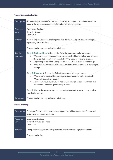٦

| Description            | An individual or group reflective activity that aims to support social innovators to<br>identify the key stakeholders and phases in their scaling process.                                                                                                                                                                                                                                                                                                                                                                                                                                                                                                                                                                                         |  |  |  |
|------------------------|----------------------------------------------------------------------------------------------------------------------------------------------------------------------------------------------------------------------------------------------------------------------------------------------------------------------------------------------------------------------------------------------------------------------------------------------------------------------------------------------------------------------------------------------------------------------------------------------------------------------------------------------------------------------------------------------------------------------------------------------------|--|--|--|
| Resource<br>Level      | Experience: Beginner<br>Time: I - 2 hours<br>Cost: Low                                                                                                                                                                                                                                                                                                                                                                                                                                                                                                                                                                                                                                                                                             |  |  |  |
| <b>Materials</b>       | Note-taking and/or group thinking materials (flipchart and post-it notes or digital<br>equivalent) for initial ideas<br>Process tracing - conceptualisation mind-map                                                                                                                                                                                                                                                                                                                                                                                                                                                                                                                                                                               |  |  |  |
| Step-by-<br>step guide | Step 1: Stakeholders Reflect on the following questions and make notes:<br>Who are the stakeholders that must be involved in the scaling (and who are<br>the ones that do not seem essential)? Who might we have to exclude?<br>Depending on how the scaling should look like and where it wants to go)<br>$\bullet$<br>What stakeholders need to be involved that were not present in the original<br>setting?<br>Step 2: Phases - Reflect on the following questions and make notes:<br>What are the most critical phases, events or junctions to be expected?<br>$\bullet$<br>When will those likely occur?<br>How do we make sure we are not only documenting these instances, but<br>$\bullet$<br>maintain our ability to govern the process? |  |  |  |
|                        | Step 3: Use the Process tracing - conceptualisation mind-map resource to collate<br>your final answers.                                                                                                                                                                                                                                                                                                                                                                                                                                                                                                                                                                                                                                            |  |  |  |
| <b>Templates</b>       | Process tracing - conceptualisation mind-map                                                                                                                                                                                                                                                                                                                                                                                                                                                                                                                                                                                                                                                                                                       |  |  |  |

### **Phase: Conceptualisation**

m.

#### **Phase: Probing**

| Description       | A group reflective activity that aims to support social innovators to reflect on and<br>understand their scaling process. |
|-------------------|---------------------------------------------------------------------------------------------------------------------------|
| Resource<br>Level | Experience: Beginner<br>Time: 15 minutes to 1 hour<br>Cost: Low                                                           |
| <b>Materials</b>  | Group note-taking materials (flipchart and post-it notes or digital equivalent)<br>Process tracing log                    |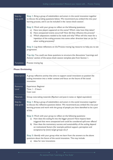| Step-by-<br>step guide | Step 1: Bring a group of stakeholders and actors in the social innovation together<br>to discuss the probing questions below. We recommend you embed this into your<br>learning process, and it can be included in the 'sense-check session'.                                                                                                                                                   |  |  |  |
|------------------------|-------------------------------------------------------------------------------------------------------------------------------------------------------------------------------------------------------------------------------------------------------------------------------------------------------------------------------------------------------------------------------------------------|--|--|--|
|                        | Step 2: Work with your group to reflect on the following questions:<br>Have new players appeared on the scene? Which roles have they taken?<br>a)<br>Have unexpected events occurred? How did they influence the process?<br>b)<br>Which adaptations needed to be made and why? What will this mean for a<br>C)<br>repetition of the scaling process into some other direction later on (or for |  |  |  |
|                        | other scaling processes)?<br>Step 3: Log these reflections on the Process tracing log resource to help you to see<br>progression.                                                                                                                                                                                                                                                               |  |  |  |
|                        | Top tip: You could use these questions to structure the discussions 'Learnings and<br>Actions' section of the sense-check session template plan from Section 1.                                                                                                                                                                                                                                 |  |  |  |
| <b>Templates</b>       | Process tracing log                                                                                                                                                                                                                                                                                                                                                                             |  |  |  |

### **Phase: Envisioning**

| <b>Description</b>     | A group reflective activity that aims to support social innovators to position the<br>scaling innovation into a wider context and focus on the future of the social<br>innovation.                                                                                                                                                                                                                                                  |  |  |  |
|------------------------|-------------------------------------------------------------------------------------------------------------------------------------------------------------------------------------------------------------------------------------------------------------------------------------------------------------------------------------------------------------------------------------------------------------------------------------|--|--|--|
| Resource<br>Level      | <b>Experience: Beginner</b><br>Time: I - 2 hours<br>Cost: Low                                                                                                                                                                                                                                                                                                                                                                       |  |  |  |
| <b>Materials</b>       | Group note-taking materials (flipchart and post-it notes or digital equivalent)                                                                                                                                                                                                                                                                                                                                                     |  |  |  |
| Step-by-<br>step guide | Step 1: Bring a group of stakeholders and actors in the social innovation together<br>to discuss the reflective questions below. We recommend you embed this into your<br>learning process and work with the group of people you have identified to be a part<br>of this.                                                                                                                                                           |  |  |  |
|                        | Step 2: Work with your group to reflect on the following questions:<br>How does the scaling fit into the bigger picture? Have impacts been<br>a)<br>triggered that were unexpected and could be considered spill-over effects?<br>b) How does the momentary success and sustainability of the scaling depend<br>on institutional factors (for example political support, perception and<br>acceptance by (new) target groups etc.)? |  |  |  |
|                        | Step 3: Identify with your group what we learn from the answers to the above<br>questions about the future of the social innovation. This may include:<br>ideas for new innovations<br>a)                                                                                                                                                                                                                                           |  |  |  |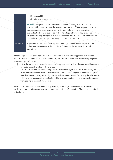#### b) sustainability

c) future directions

**Top tip:** This phase is best implemented when the scaling process starts to generate wider impact (not at the start of your journey). You may want to use the above steps as an alternative structure for some of the sense-check sessions outlined in Section 2 of this guide in the later stages of your scaling plan. This structure will help your group of stakeholders and actors think about the future of the innovation and be a part of making concrete plans about this.

Templates A group reflective activity that aims to support social innovators to position the scaling innovation into a wider context and focus on the future of the social innovation.

When you go through these activities, we recommend you follow a lean approach that focuses on the most important elements and stakeholders. So, the stresses in italics are purposefully employed. We do this for two reasons:

- 1. Following up on every possible aspect in the greatest detail will overburden social innovators and deteriorate the value of the exercise.
- 2. You should not seek to activate all possible stakeholders right at the start. The scaling of social innovation needs different stakeholders and their competencies at different points in time. Involving too many, especially those who have an interest in maintaining the status quo, might prevent a process from unfolding, while involving too few may prevent the innovation from getting to the next impact level.

What is most important can be identified by working with the group of stakeholders you are involving in your learning process (your learning community or Community of Practice), as outlined in Section 2.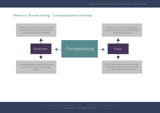## Resource: Process tracing - Conceptualisation mind-map